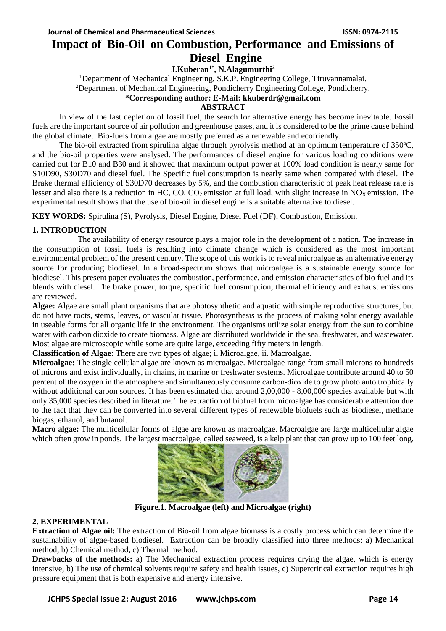# **Impact of Bio-Oil on Combustion, Performance and Emissions of Diesel Engine**

**J.Kuberan1\* , N.Alagumurthi<sup>2</sup>**

<sup>1</sup>Department of Mechanical Engineering, S.K.P. Engineering College, Tiruvannamalai. <sup>2</sup>Department of Mechanical Engineering, Pondicherry Engineering College, Pondicherry.

### **\*Corresponding author: E-Mail: kkuberdr@gmail.com**

**ABSTRACT**

In view of the fast depletion of fossil fuel, the search for alternative energy has become inevitable. Fossil fuels are the important source of air pollution and greenhouse gases, and it is considered to be the prime cause behind the global climate. Bio-fuels from algae are mostly preferred as a renewable and ecofriendly.

The bio-oil extracted from spirulina algae through pyrolysis method at an optimum temperature of 350°C, and the bio-oil properties were analysed. The performances of diesel engine for various loading conditions were carried out for B10 and B30 and it showed that maximum output power at 100% load condition is nearly same for S10D90, S30D70 and diesel fuel. The Specific fuel consumption is nearly same when compared with diesel. The Brake thermal efficiency of S30D70 decreases by 5%, and the combustion characteristic of peak heat release rate is lesser and also there is a reduction in HC,  $CO$ ,  $CO<sub>2</sub>$  emission at full load, with slight increase in  $NO<sub>X</sub>$  emission. The experimental result shows that the use of bio-oil in diesel engine is a suitable alternative to diesel.

**KEY WORDS:** Spirulina (S), Pyrolysis, Diesel Engine, Diesel Fuel (DF), Combustion, Emission.

# **1. INTRODUCTION**

 The availability of energy resource plays a major role in the development of a nation. The increase in the consumption of fossil fuels is resulting into climate change which is considered as the most important environmental problem of the present century. The scope of this work is to reveal microalgae as an alternative energy source for producing biodiesel. In a broad-spectrum shows that microalgae is a sustainable energy source for biodiesel. This present paper evaluates the combustion, performance, and emission characteristics of bio fuel and its blends with diesel. The brake power, torque, specific fuel consumption, thermal efficiency and exhaust emissions are reviewed.

**Algae:** Algae are small plant organisms that are photosynthetic and aquatic with simple reproductive structures, but do not have roots, stems, leaves, or vascular tissue. Photosynthesis is the process of making solar energy available in useable forms for all organic life in the environment. The organisms utilize solar energy from the sun to combine water with carbon dioxide to create biomass. Algae are distributed worldwide in the sea, freshwater, and wastewater. Most algae are microscopic while some are quite large, exceeding fifty meters in length.

**Classification of Algae:** There are two types of algae; i. Microalgae, ii. Macroalgae.

**Microalgae:** The single cellular algae are known as microalgae. Microalgae range from small microns to hundreds of microns and exist individually, in chains, in marine or freshwater systems. Microalgae contribute around 40 to 50 percent of the oxygen in the atmosphere and simultaneously consume carbon-dioxide to grow photo auto trophically without additional carbon sources. It has been estimated that around 2,00,000 - 8,00,000 species available but with only 35,000 species described in literature. The extraction of biofuel from microalgae has considerable attention due to the fact that they can be converted into several different types of renewable biofuels such as biodiesel, methane biogas, ethanol, and butanol.

**Macro algae:** The multicellular forms of algae are known as macroalgae. Macroalgae are large multicellular algae which often grow in ponds. The largest macroalgae, called seaweed, is a kelp plant that can grow up to 100 feet long.



**Figure.1. Macroalgae (left) and Microalgae (right)**

# **2. EXPERIMENTAL**

**Extraction of Algae oil:** The extraction of Bio-oil from algae biomass is a costly process which can determine the sustainability of algae-based biodiesel. Extraction can be broadly classified into three methods: a) [Mechanical](http://www.oilgae.com/algae/oil/extract/mec/mec.html)  [method,](http://www.oilgae.com/algae/oil/extract/mec/mec.html) b) [Chemical method,](http://www.oilgae.com/algae/oil/extract/che/che.html) c) Thermal method.

**Drawbacks of the methods:** a) The Mechanical extraction process requires drying the algae, which is energy intensive, b) The use of chemical solvents require safety and health issues, c) Supercritical extraction requires high pressure equipment that is both expensive and energy intensive.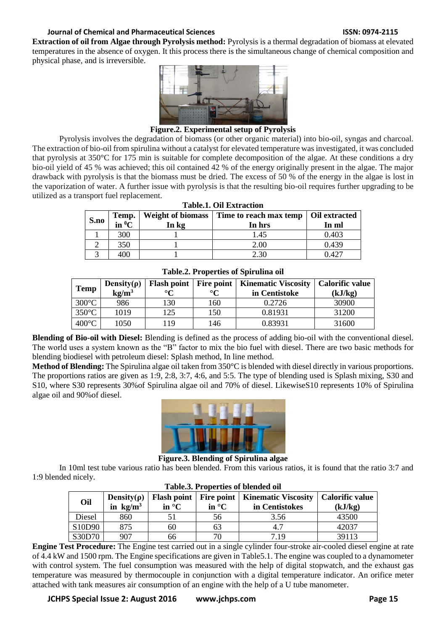# **Journal of Chemical and Pharmaceutical Sciences ISSN: 0974-2115**

**Extraction of oil from Algae through Pyrolysis method:** Pyrolysis is a thermal degradation of biomass at elevated temperatures in the absence of oxygen. It this process there is the simultaneous change of chemical composition and physical phase, and is irreversible.



**Figure.2. Experimental setup of Pyrolysis**

Pyrolysis involves the degradation of biomass (or other organic material) into bio-oil, syngas and charcoal. The extraction of bio-oil from spirulina without a catalyst for elevated temperature was investigated, it was concluded that pyrolysis at 350°C for 175 min is suitable for complete decomposition of the algae. At these conditions a dry bio-oil yield of 45 % was achieved; this oil contained 42 % of the energy originally present in the algae. The major drawback with pyrolysis is that the biomass must be dried. The excess of 50 % of the energy in the algae is lost in the vaporization of water. A further issue with pyrolysis is that the resulting bio-oil requires further upgrading to be utilized as a transport fuel replacement.

| Tabic.I. On Exuaction |                                                                            |                          |                                        |       |
|-----------------------|----------------------------------------------------------------------------|--------------------------|----------------------------------------|-------|
| S.no                  | $\begin{array}{c}\n\textbf{Temp.} \\ \textbf{in}^0\textbf{C}\n\end{array}$ | <b>Weight of biomass</b> | Time to reach max temp   Oil extracted |       |
|                       |                                                                            | In kg                    | In hrs                                 | In ml |
|                       | 300                                                                        |                          | 1.45                                   | 0.403 |
|                       | 350                                                                        |                          | 2.00                                   | 0.439 |
|                       | 400                                                                        |                          | 2.30                                   | 0.427 |

# **Table.1. Oil Extraction**

| Temp            | Density( $\rho$ )<br>$kg/m^3$ | Flash point   Fire point  <br>$\circ$ $\sim$ | $\circ$ $\sim$ | <b>Kinematic Viscosity</b><br>in Centistoke | <b>Calorific value</b><br>(kJ/kg) |
|-----------------|-------------------------------|----------------------------------------------|----------------|---------------------------------------------|-----------------------------------|
| $300^{\circ}$ C | 986                           | 130                                          | 160            | 0.2726                                      | 30900                             |
| $350^{\circ}$ C | 1019                          | 125                                          | 150            | 0.81931                                     | 31200                             |
| $400^{\circ}$ C | 1050                          | 119                                          | 146            | 0.83931                                     | 31600                             |

**Table.2. Properties of Spirulina oil**

**Blending of Bio-oil with Diesel:** Blending is defined as the process of adding bio-oil with the conventional diesel. The world uses a system known as the "B" factor to mix the bio fuel with diesel. There are two basic methods for blending biodiesel with petroleum diesel: Splash method, In line method.

**Method of Blending:** The Spirulina algae oil taken from 350°C is blended with diesel directly in various proportions. The proportions ratios are given as 1:9, 2:8, 3:7, 4:6, and 5:5. The type of blending used is Splash mixing, S30 and S10, where S30 represents 30%of Spirulina algae oil and 70% of diesel. LikewiseS10 represents 10% of Spirulina algae oil and 90%of diesel.



**Figure.3. Blending of Spirulina algae**

In 10ml test tube various ratio has been blended. From this various ratios, it is found that the ratio 3:7 and 1:9 blended nicely.

| Oil    | Density $(\rho)$<br>in $\text{kg/m}^3$ | <b>Flash point</b><br>in $\mathrm{C}$ | <b>Fire point</b><br>in $\mathrm{C}$ | <b>Kinematic Viscosity</b><br>in Centistokes | Calorific value<br>(kJ/kg) |
|--------|----------------------------------------|---------------------------------------|--------------------------------------|----------------------------------------------|----------------------------|
| Diesel | 860                                    |                                       | 56                                   | 3.56                                         | 43500                      |
| S10D90 | 875                                    | 60                                    | 63                                   | 4.7                                          | 42037                      |
| S30D70 | 907                                    | 66                                    |                                      | 7.19                                         | 39113                      |

#### **Table.3. Properties of blended oil**

**Engine Test Procedure:** The Engine test carried out in a single cylinder four-stroke air-cooled diesel engine at rate of 4.4 kW and 1500 rpm. The Engine specifications are given in Table5.1. The engine was coupled to a dynamometer with control system. The fuel consumption was measured with the help of digital stopwatch, and the exhaust gas temperature was measured by thermocouple in conjunction with a digital temperature indicator. An orifice meter attached with tank measures air consumption of an engine with the help of a U tube manometer.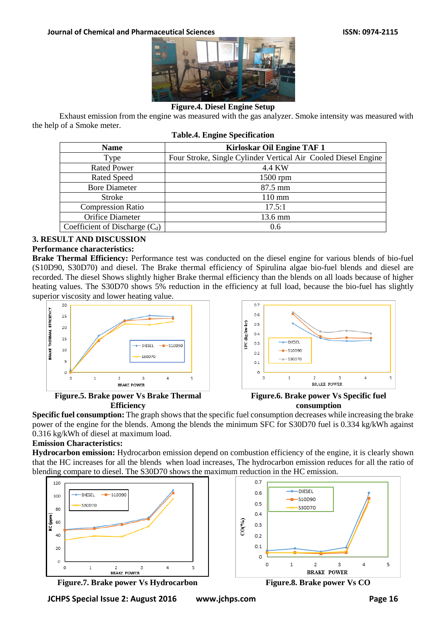

# **Figure.4. Diesel Engine Setup**

Exhaust emission from the engine was measured with the gas analyzer. Smoke intensity was measured with the help of a Smoke meter.

| <b>Name</b>                      | Kirloskar Oil Engine TAF 1                                     |  |  |  |
|----------------------------------|----------------------------------------------------------------|--|--|--|
| Type                             | Four Stroke, Single Cylinder Vertical Air Cooled Diesel Engine |  |  |  |
| <b>Rated Power</b>               | 4.4 KW                                                         |  |  |  |
| <b>Rated Speed</b>               | $1500$ rpm                                                     |  |  |  |
| <b>Bore Diameter</b>             | 87.5 mm                                                        |  |  |  |
| <b>Stroke</b>                    | $110 \text{ mm}$                                               |  |  |  |
| <b>Compression Ratio</b>         | 17.5:1                                                         |  |  |  |
| Orifice Diameter                 | 13.6 mm                                                        |  |  |  |
| Coefficient of Discharge $(C_d)$ | 0.6                                                            |  |  |  |
|                                  |                                                                |  |  |  |

#### **Table.4. Engine Specification**

# **3. RESULT AND DISCUSSION**

#### **Performance characteristics:**

**Brake Thermal Efficiency:** Performance test was conducted on the diesel engine for various blends of bio-fuel (S10D90, S30D70) and diesel. The Brake thermal efficiency of Spirulina algae bio-fuel blends and diesel are recorded. The diesel Shows slightly higher Brake thermal efficiency than the blends on all loads because of higher heating values. The S30D70 shows 5% reduction in the efficiency at full load, because the bio-fuel has slightly superior viscosity and lower heating value.



**Figure.5. Brake power Vs Brake Thermal Efficiency**



**Figure.6. Brake power Vs Specific fuel consumption**

**Specific fuel consumption:** The graph shows that the specific fuel consumption decreases while increasing the brake power of the engine for the blends. Among the blends the minimum SFC for S30D70 fuel is 0.334 kg/kWh against 0.316 kg/kWh of diesel at maximum load.

# **Emission Characteristics:**

**Hydrocarbon emission:** Hydrocarbon emission depend on combustion efficiency of the engine, it is clearly shown that the HC increases for all the blends when load increases, The hydrocarbon emission reduces for all the ratio of blending compare to diesel. The S30D70 shows the maximum reduction in the HC emission.



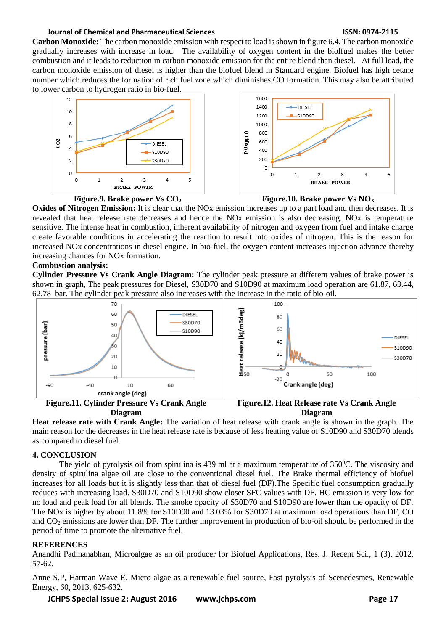#### **Journal of Chemical and Pharmaceutical Sciences ISSN: 0974-2115**

**Carbon Monoxide:** The carbon monoxide emission with respect to load is shown in figure 6.4. The carbon monoxide gradually increases with increase in load. The availability of oxygen content in the biolfuel makes the better combustion and it leads to reduction in carbon monoxide emission for the entire blend than diesel. At full load, the carbon monoxide emission of diesel is higher than the biofuel blend in Standard engine. Biofuel has high cetane number which reduces the formation of rich fuel zone which diminishes CO formation. This may also be attributed to lower carbon to hydrogen ratio in bio-fuel.







**Oxides of Nitrogen Emission:** It is clear that the NOx emission increases up to a part load and then decreases. It is revealed that heat release rate decreases and hence the NOx emission is also decreasing. NOx is temperature sensitive. The intense heat in combustion, inherent availability of nitrogen and oxygen from fuel and intake charge create favorable conditions in accelerating the reaction to result into oxides of nitrogen. This is the reason for increased NOx concentrations in diesel engine. In bio-fuel, the oxygen content increases injection advance thereby increasing chances for NOx formation.

#### **Combustion analysis:**

**Cylinder Pressure Vs Crank Angle Diagram:** The cylinder peak pressure at different values of brake power is shown in graph, The peak pressures for Diesel, S30D70 and S10D90 at maximum load operation are 61.87, 63.44, 62.78 bar. The cylinder peak pressure also increases with the increase in the ratio of bio-oil.



**Figure.11. Cylinder Pressure Vs Crank Angle Diagram Figure.12. Heat Release rate Vs Crank Angle Diagram**

**Heat release rate with Crank Angle:** The variation of heat release with crank angle is shown in the graph. The main reason for the decreases in the heat release rate is because of less heating value of S10D90 and S30D70 blends as compared to diesel fuel.

#### **4. CONCLUSION**

The yield of pyrolysis oil from spirulina is 439 ml at a maximum temperature of  $350^{\circ}$ C. The viscosity and density of spirulina algae oil are close to the conventional diesel fuel. The Brake thermal efficiency of biofuel increases for all loads but it is slightly less than that of diesel fuel (DF).The Specific fuel consumption gradually reduces with increasing load. S30D70 and S10D90 show closer SFC values with DF. HC emission is very low for no load and peak load for all blends. The smoke opacity of S30D70 and S10D90 are lower than the opacity of DF. The NOx is higher by about 11.8% for S10D90 and 13.03% for S30D70 at maximum load operations than DF, CO and  $CO<sub>2</sub>$  emissions are lower than DF. The further improvement in production of bio-oil should be performed in the period of time to promote the alternative fuel.

#### **REFERENCES**

Anandhi Padmanabhan, Microalgae as an oil producer for Biofuel Applications, Res. J. Recent Sci., 1 (3), 2012, 57-62.

Anne S.P, Harman Wave E, Micro algae as a renewable fuel source, Fast pyrolysis of Scenedesmes, Renewable Energy, 60, 2013, 625-632.